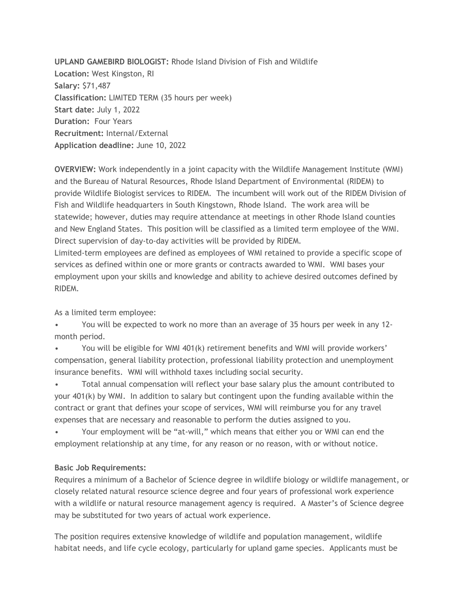**UPLAND GAMEBIRD BIOLOGIST:** Rhode Island Division of Fish and Wildlife **Location:** West Kingston, RI **Salary:** \$71,487 **Classification:** LIMITED TERM (35 hours per week) **Start date:** July 1, 2022 **Duration:** Four Years **Recruitment:** Internal/External **Application deadline:** June 10, 2022

**OVERVIEW:** Work independently in a joint capacity with the Wildlife Management Institute (WMI) and the Bureau of Natural Resources, Rhode Island Department of Environmental (RIDEM) to provide Wildlife Biologist services to RIDEM. The incumbent will work out of the RIDEM Division of Fish and Wildlife headquarters in South Kingstown, Rhode Island. The work area will be statewide; however, duties may require attendance at meetings in other Rhode Island counties and New England States. This position will be classified as a limited term employee of the WMI. Direct supervision of day-to-day activities will be provided by RIDEM.

Limited-term employees are defined as employees of WMI retained to provide a specific scope of services as defined within one or more grants or contracts awarded to WMI. WMI bases your employment upon your skills and knowledge and ability to achieve desired outcomes defined by RIDEM.

As a limited term employee:

• You will be expected to work no more than an average of 35 hours per week in any 12 month period.

• You will be eligible for WMI 401(k) retirement benefits and WMI will provide workers' compensation, general liability protection, professional liability protection and unemployment insurance benefits. WMI will withhold taxes including social security.

• Total annual compensation will reflect your base salary plus the amount contributed to your 401(k) by WMI. In addition to salary but contingent upon the funding available within the contract or grant that defines your scope of services, WMI will reimburse you for any travel expenses that are necessary and reasonable to perform the duties assigned to you.

• Your employment will be "at-will," which means that either you or WMI can end the employment relationship at any time, for any reason or no reason, with or without notice.

## **Basic Job Requirements:**

Requires a minimum of a Bachelor of Science degree in wildlife biology or wildlife management, or closely related natural resource science degree and four years of professional work experience with a wildlife or natural resource management agency is required. A Master's of Science degree may be substituted for two years of actual work experience.

The position requires extensive knowledge of wildlife and population management, wildlife habitat needs, and life cycle ecology, particularly for upland game species. Applicants must be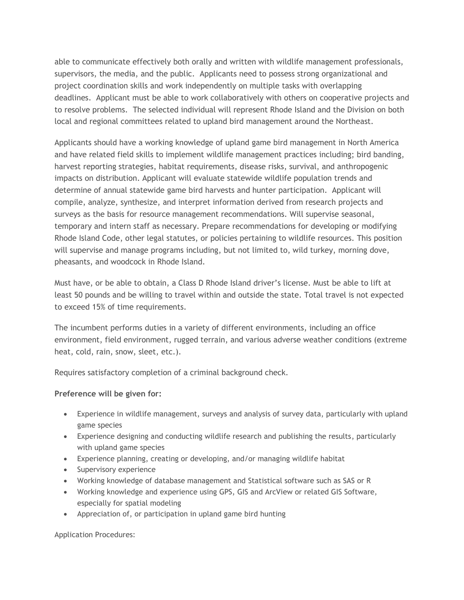able to communicate effectively both orally and written with wildlife management professionals, supervisors, the media, and the public. Applicants need to possess strong organizational and project coordination skills and work independently on multiple tasks with overlapping deadlines. Applicant must be able to work collaboratively with others on cooperative projects and to resolve problems. The selected individual will represent Rhode Island and the Division on both local and regional committees related to upland bird management around the Northeast.

Applicants should have a working knowledge of upland game bird management in North America and have related field skills to implement wildlife management practices including; bird banding, harvest reporting strategies, habitat requirements, disease risks, survival, and anthropogenic impacts on distribution. Applicant will evaluate statewide wildlife population trends and determine of annual statewide game bird harvests and hunter participation. Applicant will compile, analyze, synthesize, and interpret information derived from research projects and surveys as the basis for resource management recommendations. Will supervise seasonal, temporary and intern staff as necessary. Prepare recommendations for developing or modifying Rhode Island Code, other legal statutes, or policies pertaining to wildlife resources. This position will supervise and manage programs including, but not limited to, wild turkey, morning dove, pheasants, and woodcock in Rhode Island.

Must have, or be able to obtain, a Class D Rhode Island driver's license. Must be able to lift at least 50 pounds and be willing to travel within and outside the state. Total travel is not expected to exceed 15% of time requirements.

The incumbent performs duties in a variety of different environments, including an office environment, field environment, rugged terrain, and various adverse weather conditions (extreme heat, cold, rain, snow, sleet, etc.).

Requires satisfactory completion of a criminal background check.

## **Preference will be given for:**

- Experience in wildlife management, surveys and analysis of survey data, particularly with upland game species
- Experience designing and conducting wildlife research and publishing the results, particularly with upland game species
- Experience planning, creating or developing, and/or managing wildlife habitat
- Supervisory experience
- Working knowledge of database management and Statistical software such as SAS or R
- Working knowledge and experience using GPS, GIS and ArcView or related GIS Software, especially for spatial modeling
- Appreciation of, or participation in upland game bird hunting

Application Procedures: